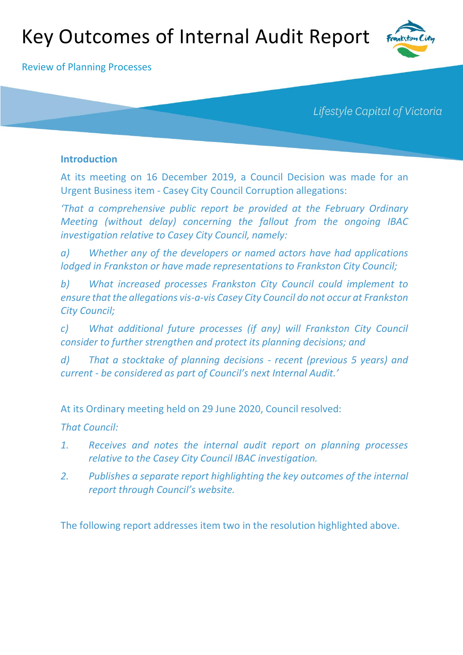# Key Outcomes of Internal Audit Report



Review of Planning Processes

Lifestyle Capital of Victoria

## **Introduction**

At its meeting on 16 December 2019, a Council Decision was made for an Urgent Business item - Casey City Council Corruption allegations:

*'That a comprehensive public report be provided at the February Ordinary Meeting (without delay) concerning the fallout from the ongoing IBAC investigation relative to Casey City Council, namely:* 

*a) Whether any of the developers or named actors have had applications lodged in Frankston or have made representations to Frankston City Council;* 

*b) What increased processes Frankston City Council could implement to ensure that the allegations vis-a-vis Casey City Council do not occur at Frankston City Council;* 

*c) What additional future processes (if any) will Frankston City Council consider to further strengthen and protect its planning decisions; and*

*d) That a stocktake of planning decisions - recent (previous 5 years) and current - be considered as part of Council's next Internal Audit.'*

At its Ordinary meeting held on 29 June 2020, Council resolved:

*That Council:*

- *1. Receives and notes the internal audit report on planning processes relative to the Casey City Council IBAC investigation.*
- *2. Publishes a separate report highlighting the key outcomes of the internal report through Council's website.*

The following report addresses item two in the resolution highlighted above.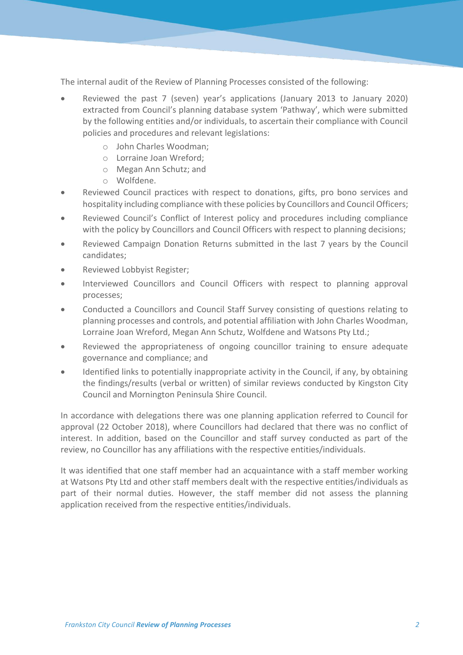The internal audit of the Review of Planning Processes consisted of the following:

- Reviewed the past 7 (seven) year's applications (January 2013 to January 2020) extracted from Council's planning database system 'Pathway', which were submitted by the following entities and/or individuals, to ascertain their compliance with Council policies and procedures and relevant legislations:
	- o John Charles Woodman;
	- o Lorraine Joan Wreford;
	- o Megan Ann Schutz; and
	- o Wolfdene.
- Reviewed Council practices with respect to donations, gifts, pro bono services and hospitality including compliance with these policies by Councillors and Council Officers;
- Reviewed Council's Conflict of Interest policy and procedures including compliance with the policy by Councillors and Council Officers with respect to planning decisions;
- Reviewed Campaign Donation Returns submitted in the last 7 years by the Council candidates;
- Reviewed Lobbyist Register;
- Interviewed Councillors and Council Officers with respect to planning approval processes;
- Conducted a Councillors and Council Staff Survey consisting of questions relating to planning processes and controls, and potential affiliation with John Charles Woodman, Lorraine Joan Wreford, Megan Ann Schutz, Wolfdene and Watsons Pty Ltd.;
- Reviewed the appropriateness of ongoing councillor training to ensure adequate governance and compliance; and
- Identified links to potentially inappropriate activity in the Council, if any, by obtaining the findings/results (verbal or written) of similar reviews conducted by Kingston City Council and Mornington Peninsula Shire Council.

In accordance with delegations there was one planning application referred to Council for approval (22 October 2018), where Councillors had declared that there was no conflict of interest. In addition, based on the Councillor and staff survey conducted as part of the review, no Councillor has any affiliations with the respective entities/individuals.

It was identified that one staff member had an acquaintance with a staff member working at Watsons Pty Ltd and other staff members dealt with the respective entities/individuals as part of their normal duties. However, the staff member did not assess the planning application received from the respective entities/individuals.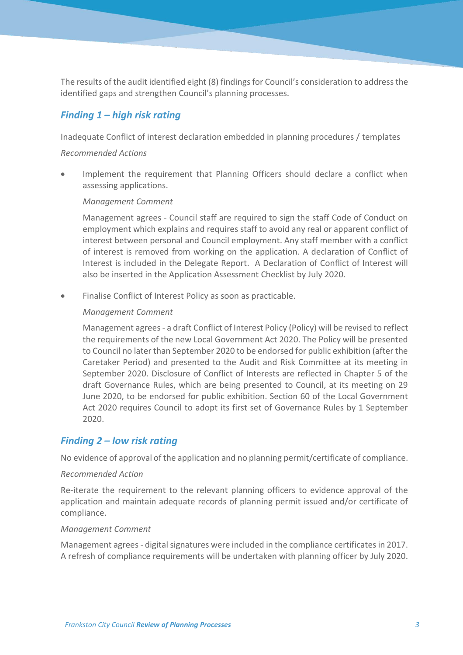The results of the audit identified eight (8) findingsfor Council's consideration to address the identified gaps and strengthen Council's planning processes.

## *Finding 1 – high risk rating*

Inadequate Conflict of interest declaration embedded in planning procedures / templates

#### *Recommended Actions*

 Implement the requirement that Planning Officers should declare a conflict when assessing applications.

#### *Management Comment*

Management agrees - Council staff are required to sign the staff Code of Conduct on employment which explains and requires staff to avoid any real or apparent conflict of interest between personal and Council employment. Any staff member with a conflict of interest is removed from working on the application. A declaration of Conflict of Interest is included in the Delegate Report. A Declaration of Conflict of Interest will also be inserted in the Application Assessment Checklist by July 2020.

Finalise Conflict of Interest Policy as soon as practicable.

#### *Management Comment*

Management agrees- a draft Conflict of Interest Policy (Policy) will be revised to reflect the requirements of the new Local Government Act 2020. The Policy will be presented to Council no later than September 2020 to be endorsed for public exhibition (after the Caretaker Period) and presented to the Audit and Risk Committee at its meeting in September 2020. Disclosure of Conflict of Interests are reflected in Chapter 5 of the draft Governance Rules, which are being presented to Council, at its meeting on 29 June 2020, to be endorsed for public exhibition. Section 60 of the Local Government Act 2020 requires Council to adopt its first set of Governance Rules by 1 September 2020.

## *Finding 2 – low risk rating*

No evidence of approval of the application and no planning permit/certificate of compliance.

#### *Recommended Action*

Re-iterate the requirement to the relevant planning officers to evidence approval of the application and maintain adequate records of planning permit issued and/or certificate of compliance.

#### *Management Comment*

Management agrees- digital signatures were included in the compliance certificates in 2017. A refresh of compliance requirements will be undertaken with planning officer by July 2020.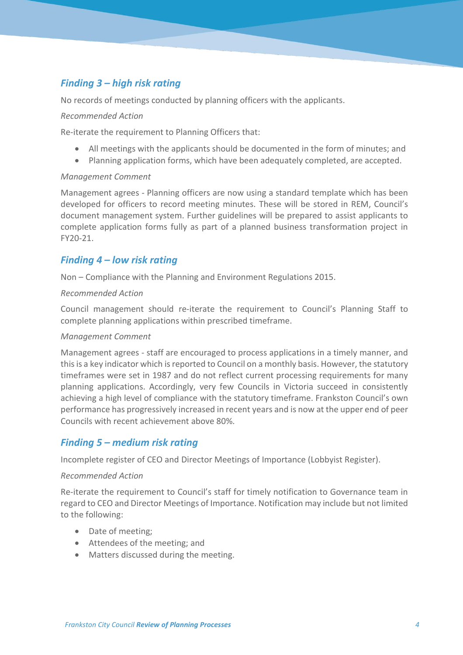# *Finding 3 – high risk rating*

No records of meetings conducted by planning officers with the applicants.

#### *Recommended Action*

Re-iterate the requirement to Planning Officers that:

- All meetings with the applicants should be documented in the form of minutes; and
- Planning application forms, which have been adequately completed, are accepted.

#### *Management Comment*

Management agrees - Planning officers are now using a standard template which has been developed for officers to record meeting minutes. These will be stored in REM, Council's document management system. Further guidelines will be prepared to assist applicants to complete application forms fully as part of a planned business transformation project in FY20-21.

## *Finding 4 – low risk rating*

Non – Compliance with the Planning and Environment Regulations 2015.

#### *Recommended Action*

Council management should re-iterate the requirement to Council's Planning Staff to complete planning applications within prescribed timeframe.

#### *Management Comment*

Management agrees - staff are encouraged to process applications in a timely manner, and this is a key indicator which is reported to Council on a monthly basis. However, the statutory timeframes were set in 1987 and do not reflect current processing requirements for many planning applications. Accordingly, very few Councils in Victoria succeed in consistently achieving a high level of compliance with the statutory timeframe. Frankston Council's own performance has progressively increased in recent years and is now at the upper end of peer Councils with recent achievement above 80%.

## *Finding 5 – medium risk rating*

Incomplete register of CEO and Director Meetings of Importance (Lobbyist Register).

#### *Recommended Action*

Re-iterate the requirement to Council's staff for timely notification to Governance team in regard to CEO and Director Meetings of Importance. Notification may include but not limited to the following:

- Date of meeting;
- Attendees of the meeting; and
- Matters discussed during the meeting.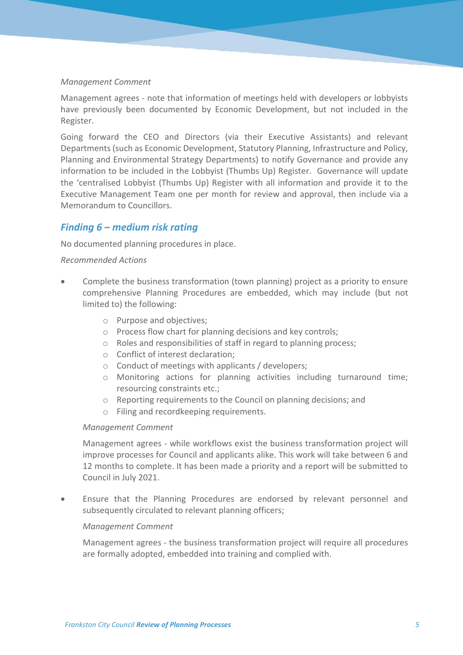#### *Management Comment*

Management agrees - note that information of meetings held with developers or lobbyists have previously been documented by Economic Development, but not included in the Register.

Going forward the CEO and Directors (via their Executive Assistants) and relevant Departments (such as Economic Development, Statutory Planning, Infrastructure and Policy, Planning and Environmental Strategy Departments) to notify Governance and provide any information to be included in the Lobbyist (Thumbs Up) Register. Governance will update the 'centralised Lobbyist (Thumbs Up) Register with all information and provide it to the Executive Management Team one per month for review and approval, then include via a Memorandum to Councillors.

## *Finding 6 – medium risk rating*

No documented planning procedures in place.

#### *Recommended Actions*

- Complete the business transformation (town planning) project as a priority to ensure comprehensive Planning Procedures are embedded, which may include (but not limited to) the following:
	- o Purpose and objectives;
	- o Process flow chart for planning decisions and key controls;
	- o Roles and responsibilities of staff in regard to planning process;
	- o Conflict of interest declaration;
	- o Conduct of meetings with applicants / developers;
	- o Monitoring actions for planning activities including turnaround time; resourcing constraints etc.;
	- o Reporting requirements to the Council on planning decisions; and
	- o Filing and recordkeeping requirements.

#### *Management Comment*

Management agrees - while workflows exist the business transformation project will improve processes for Council and applicants alike. This work will take between 6 and 12 months to complete. It has been made a priority and a report will be submitted to Council in July 2021.

 Ensure that the Planning Procedures are endorsed by relevant personnel and subsequently circulated to relevant planning officers;

#### *Management Comment*

Management agrees - the business transformation project will require all procedures are formally adopted, embedded into training and complied with.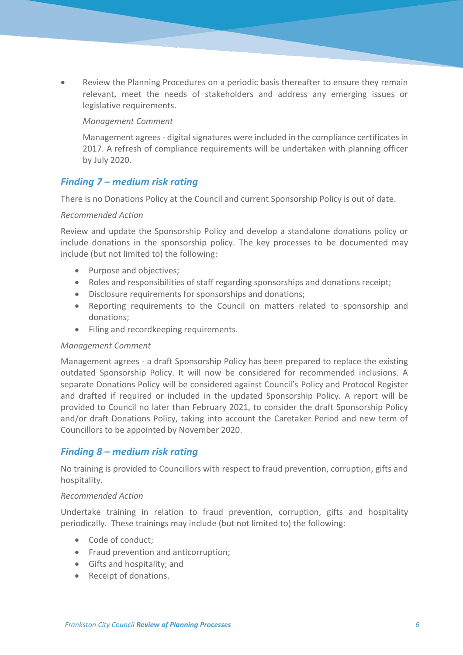Review the Planning Procedures on a periodic basis thereafter to ensure they remain relevant, meet the needs of stakeholders and address any emerging issues or legislative requirements.

#### *Management Comment*

Management agrees - digital signatures were included in the compliance certificates in 2017. A refresh of compliance requirements will be undertaken with planning officer by July 2020.

## *Finding 7 – medium risk rating*

There is no Donations Policy at the Council and current Sponsorship Policy is out of date.

#### *Recommended Action*

Review and update the Sponsorship Policy and develop a standalone donations policy or include donations in the sponsorship policy. The key processes to be documented may include (but not limited to) the following:

- Purpose and objectives;
- Roles and responsibilities of staff regarding sponsorships and donations receipt;
- Disclosure requirements for sponsorships and donations;
- Reporting requirements to the Council on matters related to sponsorship and donations;
- Filing and recordkeeping requirements.

#### *Management Comment*

Management agrees - a draft Sponsorship Policy has been prepared to replace the existing outdated Sponsorship Policy. It will now be considered for recommended inclusions. A separate Donations Policy will be considered against Council's Policy and Protocol Register and drafted if required or included in the updated Sponsorship Policy. A report will be provided to Council no later than February 2021, to consider the draft Sponsorship Policy and/or draft Donations Policy, taking into account the Caretaker Period and new term of Councillors to be appointed by November 2020.

## *Finding 8 – medium risk rating*

No training is provided to Councillors with respect to fraud prevention, corruption, gifts and hospitality.

#### *Recommended Action*

Undertake training in relation to fraud prevention, corruption, gifts and hospitality periodically. These trainings may include (but not limited to) the following:

- Code of conduct:
- Fraud prevention and anticorruption;
- Gifts and hospitality; and
- Receipt of donations.